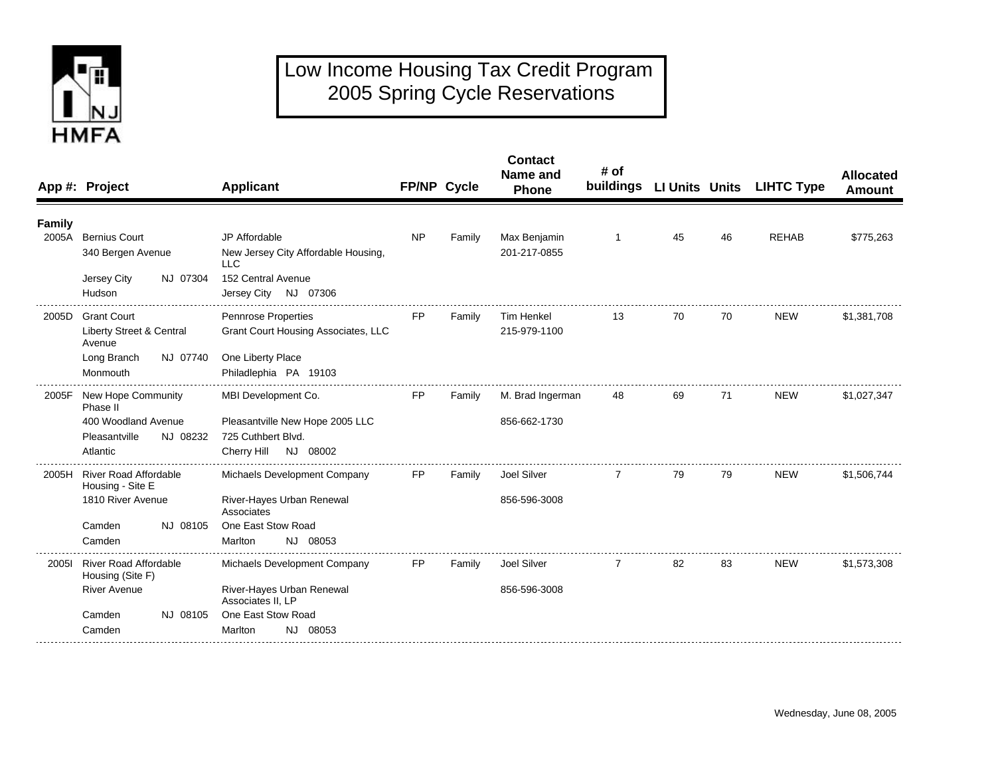

## Low Income Housing Tax Credit Program 2005 Spring Cycle Reservations

|                 | App #: Project                                               | <b>Applicant</b>                                                                 | FP/NP Cycle |        | <b>Contact</b><br>Name and<br>Phone | # of |    |    | buildings LI Units Units LIHTC Type | <b>Allocated</b><br><b>Amount</b> |
|-----------------|--------------------------------------------------------------|----------------------------------------------------------------------------------|-------------|--------|-------------------------------------|------|----|----|-------------------------------------|-----------------------------------|
| Family<br>2005A | <b>Bernius Court</b>                                         | JP Affordable                                                                    | <b>NP</b>   | Family | Max Benjamin                        | 1    | 45 | 46 | <b>REHAB</b>                        | \$775,263                         |
|                 | 340 Bergen Avenue                                            | New Jersey City Affordable Housing,<br>LLC                                       |             |        | 201-217-0855                        |      |    |    |                                     |                                   |
|                 | NJ 07304<br>Jersey City<br>Hudson                            | 152 Central Avenue<br>Jersey City NJ 07306                                       |             |        |                                     |      |    |    |                                     |                                   |
| 2005D           | <b>Grant Court</b><br>Liberty Street & Central<br>Avenue     | <b>Pennrose Properties</b><br>Grant Court Housing Associates, LLC                | <b>FP</b>   | Family | <b>Tim Henkel</b><br>215-979-1100   | 13   | 70 | 70 | <b>NEW</b>                          | \$1,381,708                       |
|                 | Long Branch<br>NJ 07740<br>Monmouth                          | One Liberty Place<br>Philadlephia PA 19103                                       |             |        |                                     |      |    |    |                                     |                                   |
| 2005F           | <b>New Hope Community</b><br>Phase II                        | MBI Development Co.                                                              | <b>FP</b>   | Family | M. Brad Ingerman                    | 48   | 69 | 71 | <b>NEW</b>                          | \$1,027,347                       |
|                 | 400 Woodland Avenue<br>Pleasantville<br>NJ 08232<br>Atlantic | Pleasantville New Hope 2005 LLC<br>725 Cuthbert Blvd.<br>Cherry Hill<br>NJ 08002 |             |        | 856-662-1730                        |      |    |    |                                     |                                   |
|                 | 2005H River Road Affordable<br>Housing - Site E              | Michaels Development Company                                                     | FP          | Family | Joel Silver                         |      | 79 | 79 | <b>NEW</b>                          | \$1,506,744                       |
|                 | 1810 River Avenue                                            | River-Hayes Urban Renewal<br>Associates                                          |             |        | 856-596-3008                        |      |    |    |                                     |                                   |
|                 | Camden<br>NJ 08105<br>Camden                                 | One East Stow Road<br>NJ 08053<br>Marlton                                        |             |        |                                     |      |    |    |                                     |                                   |
| 20051           | <b>River Road Affordable</b><br>Housing (Site F)             | Michaels Development Company                                                     | <b>FP</b>   | Family | Joel Silver                         | 7    | 82 | 83 | <b>NEW</b>                          | \$1,573,308                       |
|                 | <b>River Avenue</b>                                          | River-Hayes Urban Renewal<br>Associates II. LP                                   |             |        | 856-596-3008                        |      |    |    |                                     |                                   |
|                 | NJ 08105<br>Camden<br>Camden                                 | One East Stow Road<br>NJ 08053<br>Marlton                                        |             |        |                                     |      |    |    |                                     |                                   |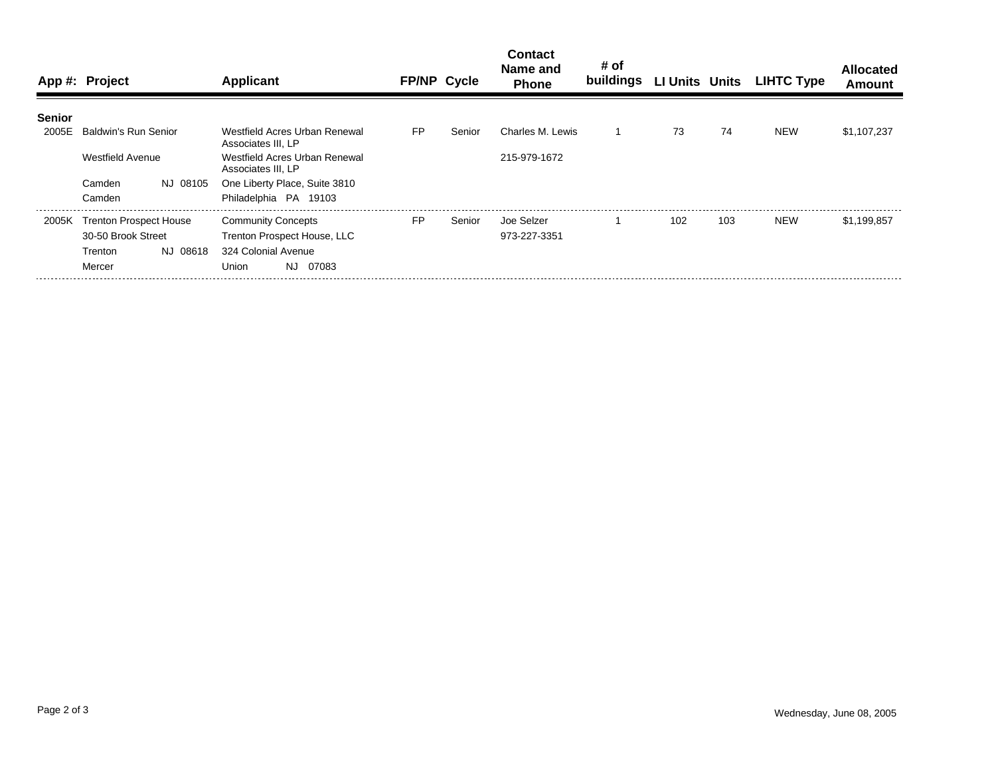|               | App #: Project               | Applicant                                           | <b>FP/NP Cycle</b> |        | <b>Contact</b><br>Name and<br><b>Phone</b> | # of<br>buildings LI Units Units |                  |     | <b>LIHTC Type</b> | <b>Allocated</b><br>Amount |
|---------------|------------------------------|-----------------------------------------------------|--------------------|--------|--------------------------------------------|----------------------------------|------------------|-----|-------------------|----------------------------|
| <b>Senior</b> |                              |                                                     |                    |        |                                            |                                  |                  |     |                   |                            |
| 2005E         | Baldwin's Run Senior         | Westfield Acres Urban Renewal<br>Associates III, LP | FP                 | Senior | Charles M. Lewis                           |                                  | 73               | 74  | <b>NEW</b>        | \$1,107,237                |
|               | <b>Westfield Avenue</b>      | Westfield Acres Urban Renewal<br>Associates III, LP |                    |        | 215-979-1672                               |                                  |                  |     |                   |                            |
|               | NJ 08105<br>Camden           | One Liberty Place, Suite 3810                       |                    |        |                                            |                                  |                  |     |                   |                            |
|               | Camden                       | Philadelphia PA 19103                               |                    |        |                                            |                                  |                  |     |                   |                            |
|               | 2005K Trenton Prospect House | <b>Community Concepts</b>                           | <b>FP</b>          | Senior | Joe Selzer                                 |                                  | 102 <sub>2</sub> | 103 | <b>NEW</b>        | \$1.199.857                |
|               | 30-50 Brook Street           | Trenton Prospect House, LLC                         |                    |        | 973-227-3351                               |                                  |                  |     |                   |                            |
|               | NJ 08618<br>Trenton          | 324 Colonial Avenue                                 |                    |        |                                            |                                  |                  |     |                   |                            |
|               | Mercer                       | NJ.<br>07083<br>Union                               |                    |        |                                            |                                  |                  |     |                   |                            |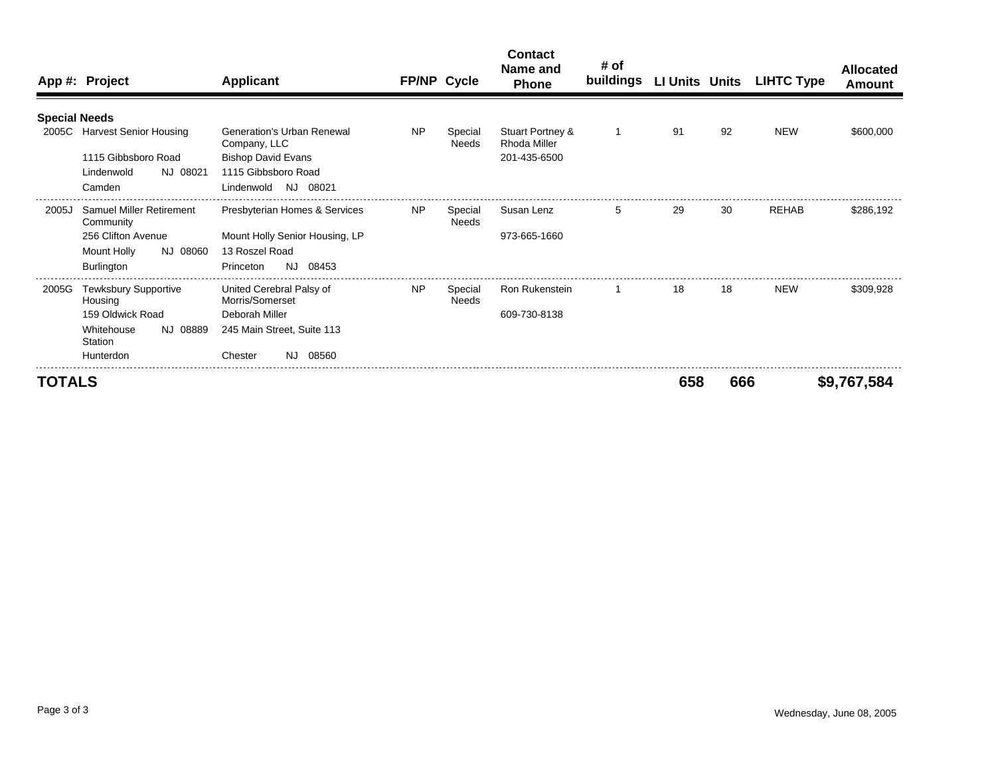|                      | App #: Project                         | <b>Applicant</b>                            | FP/NP Cycle |                         | <b>Contact</b><br>Name and<br><b>Phone</b> | # of<br>buildings | LI Units Units |     | <b>LIHTC Type</b> | <b>Allocated</b><br>Amount |
|----------------------|----------------------------------------|---------------------------------------------|-------------|-------------------------|--------------------------------------------|-------------------|----------------|-----|-------------------|----------------------------|
|                      |                                        |                                             |             |                         |                                            |                   |                |     |                   |                            |
| <b>Special Needs</b> |                                        |                                             |             |                         |                                            |                   |                |     |                   |                            |
|                      | 2005C Harvest Senior Housing           | Generation's Urban Renewal<br>Company, LLC  | <b>NP</b>   | Special<br><b>Needs</b> | Stuart Portney &<br>Rhoda Miller           | $\mathbf 1$       | 91             | 92  | <b>NEW</b>        | \$600,000                  |
|                      | 1115 Gibbsboro Road                    | <b>Bishop David Evans</b>                   |             |                         | 201-435-6500                               |                   |                |     |                   |                            |
|                      | NJ 08021<br>Lindenwold                 | 1115 Gibbsboro Road                         |             |                         |                                            |                   |                |     |                   |                            |
|                      | Camden                                 | Lindenwold<br>NJ 08021                      |             |                         |                                            |                   |                |     |                   |                            |
| 2005J                | <b>Samuel Miller Retirement</b>        | Presbyterian Homes & Services               | <b>NP</b>   | Special<br>Needs        | Susan Lenz                                 | 5                 | 29             | 30  | <b>REHAB</b>      | \$286,192                  |
|                      | Community                              |                                             |             |                         |                                            |                   |                |     |                   |                            |
|                      | 256 Clifton Avenue                     | Mount Holly Senior Housing, LP              |             |                         | 973-665-1660                               |                   |                |     |                   |                            |
|                      | NJ 08060<br>Mount Holly                | 13 Roszel Road                              |             |                         |                                            |                   |                |     |                   |                            |
|                      | <b>Burlington</b>                      | NJ 08453<br>Princeton                       |             |                         |                                            |                   |                |     |                   |                            |
| 2005G                | <b>Tewksbury Supportive</b><br>Housing | United Cerebral Palsy of<br>Morris/Somerset | <b>NP</b>   | Special<br>Needs        | <b>Ron Rukenstein</b>                      |                   | 18             | 18  | <b>NEW</b>        | \$309.928                  |
|                      | 159 Oldwick Road                       | Deborah Miller                              |             |                         | 609-730-8138                               |                   |                |     |                   |                            |
|                      | Whitehouse<br>NJ 08889<br>Station      | 245 Main Street, Suite 113                  |             |                         |                                            |                   |                |     |                   |                            |
|                      | Hunterdon                              | Chester<br>08560<br>NJ.                     |             |                         |                                            |                   |                |     |                   |                            |
| <b>TOTALS</b>        |                                        |                                             |             |                         |                                            |                   | 658            | 666 |                   | \$9,767,584                |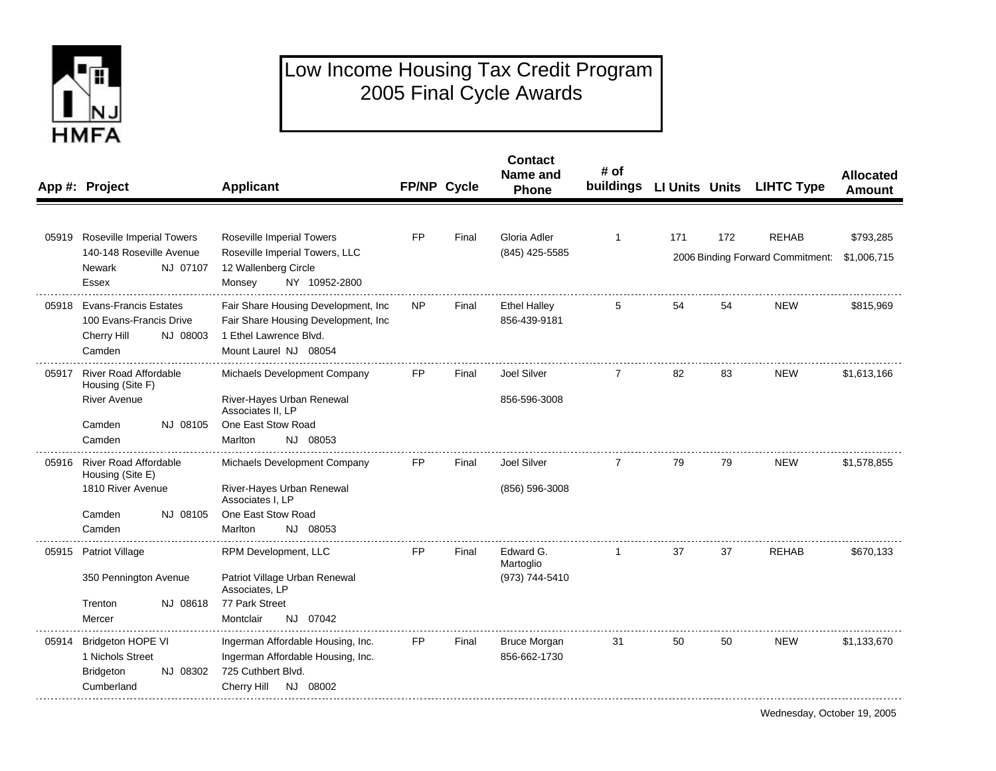

## Low Income Housing Tax Credit Program 2005 Final Cycle Awards

|       | App #: Project                                                                              | <b>Applicant</b>                                                                                                               | FP/NP Cycle |       | <b>Contact</b><br>Name and<br>Phone | # of |     |     | buildings LI Units Units LIHTC Type | <b>Allocated</b><br><b>Amount</b> |
|-------|---------------------------------------------------------------------------------------------|--------------------------------------------------------------------------------------------------------------------------------|-------------|-------|-------------------------------------|------|-----|-----|-------------------------------------|-----------------------------------|
|       |                                                                                             |                                                                                                                                |             |       |                                     |      |     |     |                                     |                                   |
|       | 05919 Roseville Imperial Towers<br>140-148 Roseville Avenue                                 | Roseville Imperial Towers<br>Roseville Imperial Towers, LLC                                                                    | FP          | Final | Gloria Adler<br>(845) 425-5585      | 1    | 171 | 172 | <b>REHAB</b>                        | \$793,285                         |
|       | NJ 07107<br>Newark<br>Essex                                                                 | 12 Wallenberg Circle<br>Monsey<br>NY 10952-2800                                                                                |             |       |                                     |      |     |     | 2006 Binding Forward Commitment:    | \$1,006,715                       |
|       | 05918 Evans-Francis Estates<br>100 Evans-Francis Drive<br>Cherry Hill<br>NJ 08003<br>Camden | Fair Share Housing Development, Inc<br>Fair Share Housing Development, Inc.<br>1 Ethel Lawrence Blvd.<br>Mount Laurel NJ 08054 | <b>NP</b>   | Final | <b>Ethel Halley</b><br>856-439-9181 |      | 54  | 54  | <b>NEW</b>                          | \$815,969                         |
| 05917 | <b>River Road Affordable</b><br>Housing (Site F)                                            | Michaels Development Company                                                                                                   | FP.         | Final | Joel Silver                         | 7    | 82  | 83  | <b>NEW</b>                          | \$1,613,166                       |
|       | <b>River Avenue</b>                                                                         | River-Hayes Urban Renewal<br>Associates II, LP                                                                                 |             |       | 856-596-3008                        |      |     |     |                                     |                                   |
|       | NJ 08105<br>Camden                                                                          | One East Stow Road                                                                                                             |             |       |                                     |      |     |     |                                     |                                   |
|       | Camden                                                                                      | Marlton<br>NJ 08053                                                                                                            |             |       |                                     |      |     |     |                                     |                                   |
|       | 05916 River Road Affordable<br>Housing (Site E)                                             | Michaels Development Company                                                                                                   | FP          | Final | Joel Silver                         | 7    | 79  | 79  | <b>NEW</b>                          | \$1,578,855                       |
|       | 1810 River Avenue                                                                           | River-Hayes Urban Renewal<br>Associates I, LP                                                                                  |             |       | (856) 596-3008                      |      |     |     |                                     |                                   |
|       | NJ 08105<br>Camden                                                                          | One East Stow Road                                                                                                             |             |       |                                     |      |     |     |                                     |                                   |
|       | Camden                                                                                      | NJ 08053<br>Marlton                                                                                                            |             |       |                                     |      |     |     |                                     |                                   |
| 05915 | <b>Patriot Village</b>                                                                      | RPM Development, LLC                                                                                                           | FP.         | Final | Edward G.<br>Martoglio              | 1    | 37  | 37  | <b>REHAB</b>                        | \$670,133                         |
|       | 350 Pennington Avenue                                                                       | Patriot Village Urban Renewal<br>Associates, LP                                                                                |             |       | (973) 744-5410                      |      |     |     |                                     |                                   |
|       | Trenton<br>NJ 08618                                                                         | 77 Park Street                                                                                                                 |             |       |                                     |      |     |     |                                     |                                   |
|       | Mercer                                                                                      | Montclair<br>NJ 07042                                                                                                          |             |       |                                     |      |     |     |                                     |                                   |
| 05914 | <b>Bridgeton HOPE VI</b>                                                                    | Ingerman Affordable Housing, Inc.                                                                                              | FP          | Final | <b>Bruce Morgan</b>                 | 31   | 50  | 50  | <b>NEW</b>                          | \$1,133,670                       |
|       | 1 Nichols Street                                                                            | Ingerman Affordable Housing, Inc.                                                                                              |             |       | 856-662-1730                        |      |     |     |                                     |                                   |
|       | NJ 08302<br><b>Bridgeton</b><br>Cumberland                                                  | 725 Cuthbert Blvd.<br>NJ 08002<br><b>Cherry Hill</b>                                                                           |             |       |                                     |      |     |     |                                     |                                   |
|       |                                                                                             |                                                                                                                                |             |       |                                     |      |     |     |                                     |                                   |

Wednesday, October 19, 2005